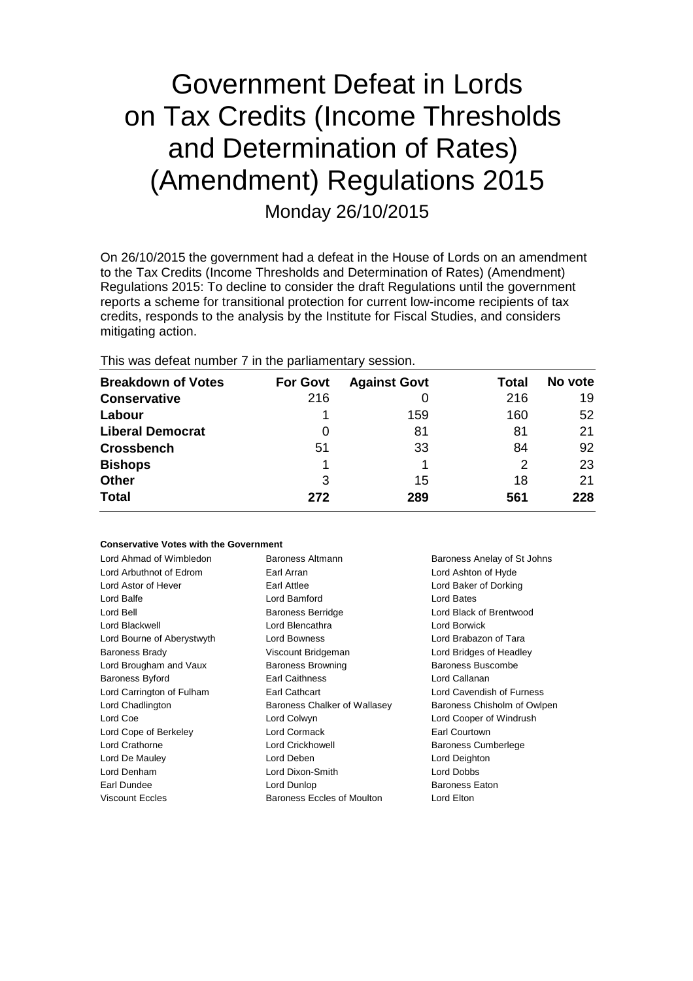# Government Defeat in Lords on Tax Credits (Income Thresholds and Determination of Rates) (Amendment) Regulations 2015 Monday 26/10/2015

On 26/10/2015 the government had a defeat in the House of Lords on an amendment to the Tax Credits (Income Thresholds and Determination of Rates) (Amendment) Regulations 2015: To decline to consider the draft Regulations until the government reports a scheme for transitional protection for current low-income recipients of tax credits, responds to the analysis by the Institute for Fiscal Studies, and considers mitigating action.

This was defeat number 7 in the parliamentary session.

| <b>Breakdown of Votes</b> | <b>For Govt</b> | <b>Against Govt</b> | Total | No vote |
|---------------------------|-----------------|---------------------|-------|---------|
| <b>Conservative</b>       | 216             |                     | 216   | 19      |
| Labour                    |                 | 159                 | 160   | 52      |
| <b>Liberal Democrat</b>   | O               | 81                  | 81    | 21      |
| <b>Crossbench</b>         | 51              | 33                  | 84    | 92      |
| <b>Bishops</b>            |                 |                     | 2     | 23      |
| <b>Other</b>              | 3               | 15                  | 18    | 21      |
| <b>Total</b>              | 272             | 289                 | 561   | 228     |

#### **Conservative Votes with the Government**

| Lord Ahmad of Wimbledon    | Baroness Altmann             | Baroness Anelay of St Johns |
|----------------------------|------------------------------|-----------------------------|
| Lord Arbuthnot of Edrom    | Earl Arran                   |                             |
|                            |                              | Lord Ashton of Hyde         |
| Lord Astor of Hever        | Earl Attlee                  | Lord Baker of Dorking       |
| Lord Balfe                 | Lord Bamford                 | Lord Bates                  |
| Lord Bell                  | <b>Baroness Berridge</b>     | Lord Black of Brentwood     |
| Lord Blackwell             | Lord Blencathra              | Lord Borwick                |
| Lord Bourne of Aberystwyth | Lord Bowness                 | Lord Brabazon of Tara       |
| <b>Baroness Brady</b>      | Viscount Bridgeman           | Lord Bridges of Headley     |
| Lord Brougham and Vaux     | <b>Baroness Browning</b>     | Baroness Buscombe           |
| <b>Baroness Byford</b>     | <b>Earl Caithness</b>        | Lord Callanan               |
| Lord Carrington of Fulham  | Earl Cathcart                | Lord Cavendish of Furness   |
| Lord Chadlington           | Baroness Chalker of Wallasey | Baroness Chisholm of Owlpen |
| Lord Coe                   | Lord Colwyn                  | Lord Cooper of Windrush     |
| Lord Cope of Berkeley      | Lord Cormack                 | Earl Courtown               |
| Lord Crathorne             | Lord Crickhowell             | Baroness Cumberlege         |
| Lord De Mauley             | Lord Deben                   | Lord Deighton               |
| Lord Denham                | Lord Dixon-Smith             | Lord Dobbs                  |
| Earl Dundee                | Lord Dunlop                  | <b>Baroness Eaton</b>       |
| <b>Viscount Eccles</b>     | Baroness Eccles of Moulton   | Lord Elton                  |
|                            |                              |                             |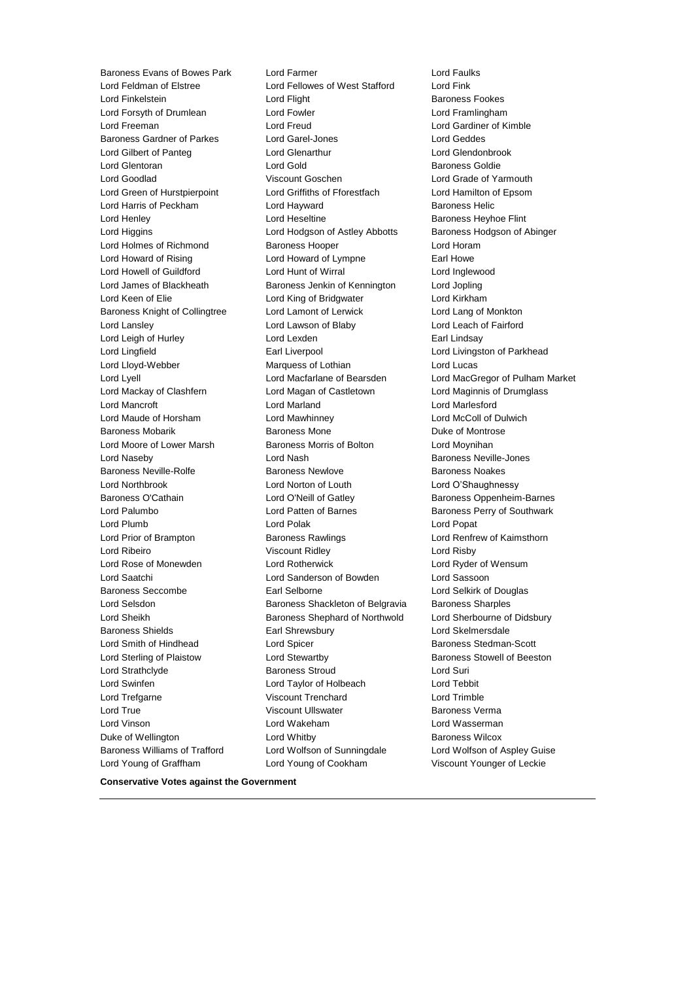Lord Young of Graffham Lord Young of Cookham Viscount Younger of Leckie

Baroness Evans of Bowes Park Lord Farmer Cord Faulks<br>
Lord Feldman of Elstree Cord Fellowes of West Stafford Lord Fink Lord Fellowes of West Stafford Lord Fink Lord Finkelstein **Lord Flight** Baroness Fookes Lord Forsyth of Drumlean Lord Fowler Lord Framlingham Lord Freeman Lord Freud Lord Gardiner of Kimble Baroness Gardner of Parkes Lord Garel-Jones Lord Geddes Lord Gilbert of Panteg Lord Glenarthur Lord Glendonbrook Lord Glentoran Lord Gold Baroness Goldie Lord Goodlad Viscount Goschen Lord Grade of Yarmouth Lord Green of Hurstpierpoint Lord Griffiths of Fforestfach Lord Hamilton of Epsom Lord Harris of Peckham **Lord Hayward** Baroness Helic Lord Henley **Lord Heseltine Lord Heseltine Baroness Heyhoe Flint** Lord Higgins Lord Hodgson of Astley Abbotts Baroness Hodgson of Abinger Lord Holmes of Richmond Baroness Hooper **Lord Horam** Lord Howard of Rising Lord Howard of Lympne Earl Howe Lord Howell of Guildford Lord Hunt of Wirral Lord Inglewood Lord James of Blackheath Baroness Jenkin of Kennington Lord Jopling Lord Keen of Elie **Lord King of Bridgwater** Lord Kirkham Baroness Knight of Collingtree Lord Lamont of Lerwick Lord Lang of Monkton Lord Lansley Lord Lawson of Blaby Lord Leach of Fairford Lord Leigh of Hurley **Lord Lexden** Lord Lexden **Earl Lindsay** Lord Lingfield **Earl Liverpool** Earl Liverpool **Lord Livingston of Parkhead** Lord Lloyd-Webber Marquess of Lothian Lord Lucas Lord Lyell Lord Macfarlane of Bearsden Lord MacGregor of Pulham Market Lord Mackay of Clashfern Lord Magan of Castletown Lord Maginnis of Drumglass Lord Mancroft Lord Marland Lord Marlesford Lord Maude of Horsham Lord Mawhinney Lord McColl of Dulwich Baroness Mobarik **Baroness Mone** Baroness Mone **Duke of Montrose** Lord Moore of Lower Marsh Baroness Morris of Bolton Lord Moynihan Lord Naseby **Lord Nash Baroness Neville-Jones** Lord Nash Baroness Neville-Jones Baroness Neville-Rolfe **Baroness Newlove** Baroness Newlove **Baroness Noakes** Lord Northbrook Lord Norton of Louth Lord O'Shaughnessy Baroness O'Cathain **Lord O'Neill of Gatley** Baroness Oppenheim-Barnes Lord Palumbo **Lord Patten of Barnes** Baroness Perry of Southwark Lord Plumb Lord Polak Lord Popat Lord Prior of Brampton **Baroness Rawlings Lord Renfrew of Kaimsthorn** Lord Ribeiro Viscount Ridley Lord Risby Lord Rose of Monewden Lord Rotherwick Lord Ryder of Wensum Lord Saatchi Lord Sanderson of Bowden Lord Sassoon Baroness Seccombe Earl Selborne Lord Selkirk of Douglas Lord Selsdon **Baroness Shackleton of Belgravia** Baroness Sharples Lord Sheikh Baroness Shephard of Northwold Lord Sherbourne of Didsbury Baroness Shields **Earl Shrewsbury** Earl Shrewsbury **Lord Skelmersdale** Lord Smith of Hindhead **Lord Spicer Lord Stedman-Scott Baroness Stedman-Scott** Lord Sterling of Plaistow **Lord Stewartby Baroness Stowell of Beeston** Lord Strathclyde Baroness Stroud Lord Suri Lord Swinfen Lord Taylor of Holbeach Lord Tebbit Lord Trefgarne Viscount Trenchard Lord Trimble Lord True Viscount Ullswater Baroness Verma Lord Vinson Lord Wakeham Lord Wasserman Duke of Wellington Lord Whitby Baroness Wilcox Baroness Williams of Trafford Lord Wolfson of Sunningdale Lord Wolfson of Aspley Guise

**Conservative Votes against the Government**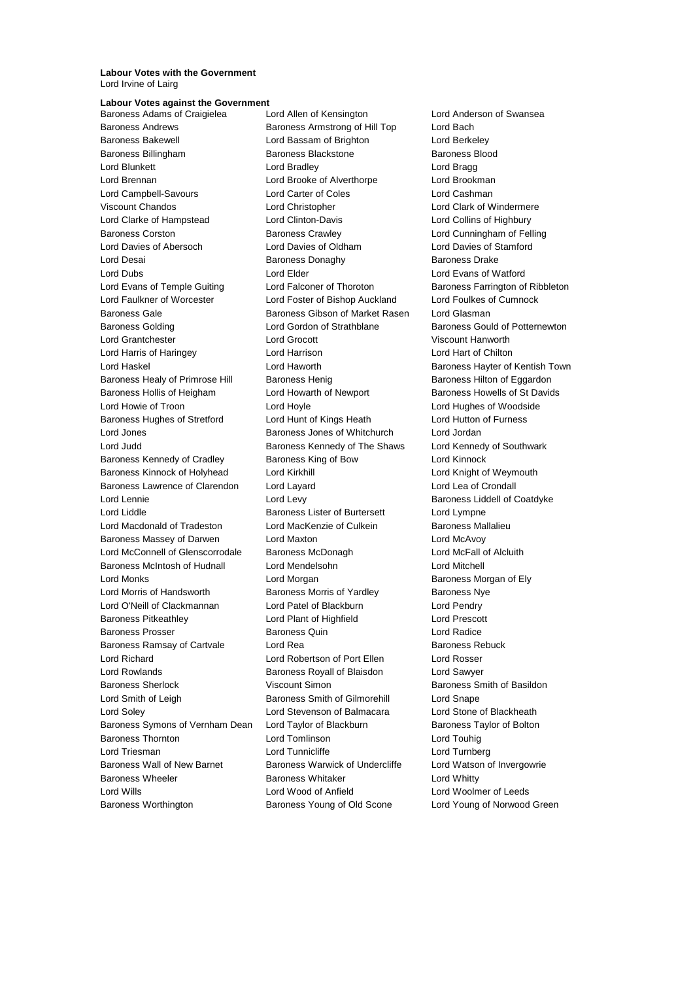#### **Labour Votes with the Government** Lord Irvine of Lairg

## **Labour Votes against the Government**

Baroness Andrews Baroness Armstrong of Hill Top Lord Bach Baroness Bakewell Lord Bassam of Brighton Lord Berkeley Baroness Billingham Baroness Blackstone Baroness Blood Lord Blunkett Lord Bradley Lord Bragg Lord Brennan Lord Brooke of Alverthorpe Lord Brookman Lord Campbell-Savours Lord Carter of Coles Lord Cashman Viscount Chandos Lord Christopher Lord Clark of Windermere Lord Clarke of Hampstead Lord Clinton-Davis Lord Collins of Highbury Baroness Corston **Baroness Crawley Community** Lord Cunningham of Felling Lord Davies of Abersoch Lord Davies of Oldham Lord Davies of Stamford Lord Desai **Baroness Donaghy** Baroness Donaghy Baroness Drake Lord Dubs Lord Elder Lord Evans of Watford Lord Evans of Temple Guiting Lord Falconer of Thoroton Baroness Farrington of Ribbleton Lord Faulkner of Worcester Lord Foster of Bishop Auckland Lord Foulkes of Cumnock Baroness Gale Baroness Gibson of Market Rasen Lord Glasman Baroness Golding Lord Gordon of Strathblane Baroness Gould of Potternewton Lord Grantchester Lord Grocott Viscount Hanworth Lord Harris of Haringey Lord Harrison Lord Hart of Chilton Lord Haskel Lord Haworth Baroness Hayter of Kentish Town Baroness Healy of Primrose Hill Baroness Henig Baroness Henig Baroness Hilton of Eggardon Baroness Hollis of Heigham Lord Howarth of Newport Baroness Howells of St Davids Lord Howie of Troon Lord Hoyle Lord Hughes of Woodside Baroness Hughes of Stretford Lord Hunt of Kings Heath Lord Hutton of Furness Lord Jones Baroness Jones of Whitchurch Lord Jordan Lord Judd **Baroness Kennedy of The Shaws** Lord Kennedy of Southwark Baroness Kennedy of Cradley **Baroness King of Bow** Lord Kinnock Baroness Kinnock of Holyhead Lord Kirkhill Lord Kirkhill Lord Knight of Weymouth Baroness Lawrence of Clarendon Lord Layard Lord Lea of Crondall Lord Lennie **Lord Levy Lord Levy Baroness Liddell of Coatdyke** Lord Liddle Baroness Lister of Burtersett Lord Lympne Lord Macdonald of Tradeston Lord MacKenzie of Culkein Baroness Mallalieu Baroness Massey of Darwen Lord Maxton Lord McAvoy Lord McConnell of Glenscorrodale Baroness McDonagh Lord McFall of Alcluith Baroness McIntosh of Hudnall Lord Mendelsohn Lord Metchell Lord Monks **Lord Morgan Club Accord Mongan Baroness Morgan of Ely** Lord Morris of Handsworth Baroness Morris of Yardley Baroness Nye Lord O'Neill of Clackmannan Lord Patel of Blackburn Lord Pendry Baroness Pitkeathley Lord Plant of Highfield Lord Prescott Baroness Prosser Baroness Quin Lord Radice Baroness Ramsay of Cartvale Lord Rea **Baroness Rebuck** Baroness Rebuck Lord Richard Lord Robertson of Port Ellen Lord Rosser Lord Rowlands Baroness Royall of Blaisdon Lord Sawyer Baroness Sherlock Viscount Simon Baroness Smith of Basildon Lord Smith of Leigh Baroness Smith of Gilmorehill Lord Snape Lord Soley Lord Stevenson of Balmacara Lord Stone of Blackheath Baroness Symons of Vernham Dean Lord Taylor of Blackburn Baroness Taylor of Bolton Baroness Thornton Lord Tomlinson Lord Touhig Lord Triesman **Lord Tunnicliffe** Lord Turnberg Lord Turnberg Baroness Wall of New Barnet Baroness Warwick of Undercliffe Lord Watson of Invergowrie Baroness Wheeler **Baroness Whitaker** Baroness Whitaker **Lord Whitty** Lord Wills Lord Wood of Anfield Lord Woolmer of Leeds Baroness Worthington Baroness Young of Old Scone Lord Young of Norwood Green

Baroness Adams of Craigielea Lord Allen of Kensington Lord Anderson of Swansea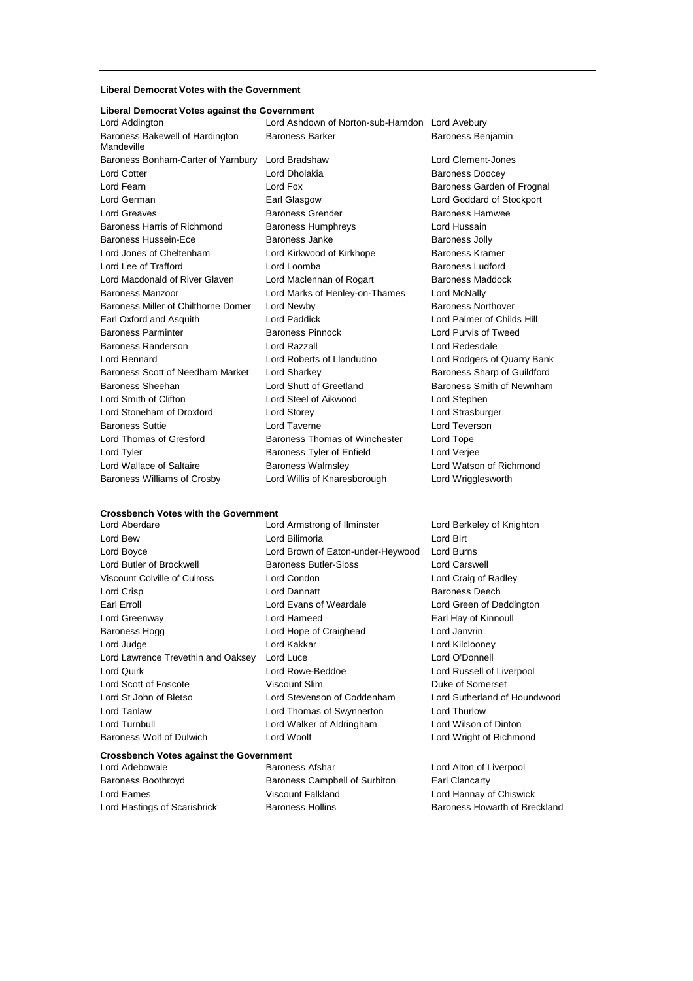#### **Liberal Democrat Votes with the Government**

#### **Liberal Democrat Votes against the Government**

| Lord Addington                                | Lord Ashdown of Norton-sub-Hamdon Lord Avebury |                             |  |
|-----------------------------------------------|------------------------------------------------|-----------------------------|--|
| Baroness Bakewell of Hardington<br>Mandeville | <b>Baroness Barker</b>                         | Baroness Benjamin           |  |
| Baroness Bonham-Carter of Yarnbury            | Lord Bradshaw                                  | Lord Clement-Jones          |  |
| Lord Cotter                                   | Lord Dholakia                                  | <b>Baroness Doocey</b>      |  |
| Lord Fearn                                    | Lord Fox                                       | Baroness Garden of Frognal  |  |
| Lord German                                   | Earl Glasgow                                   | Lord Goddard of Stockport   |  |
| Lord Greaves                                  | <b>Baroness Grender</b>                        | <b>Baroness Hamwee</b>      |  |
| Baroness Harris of Richmond                   | <b>Baroness Humphreys</b>                      | Lord Hussain                |  |
| <b>Baroness Hussein-Ece</b>                   | Baroness Janke                                 | <b>Baroness Jolly</b>       |  |
| Lord Jones of Cheltenham                      | Lord Kirkwood of Kirkhope                      | <b>Baroness Kramer</b>      |  |
| Lord Lee of Trafford                          | Lord Loomba                                    | Baroness Ludford            |  |
| Lord Macdonald of River Glaven                | Lord Maclennan of Rogart                       | Baroness Maddock            |  |
| Baroness Manzoor                              | Lord Marks of Henley-on-Thames                 | Lord McNally                |  |
| Baroness Miller of Chilthorne Domer           | Lord Newby                                     | <b>Baroness Northover</b>   |  |
| Earl Oxford and Asquith                       | <b>Lord Paddick</b>                            | Lord Palmer of Childs Hill  |  |
| <b>Baroness Parminter</b>                     | <b>Baroness Pinnock</b>                        | Lord Purvis of Tweed        |  |
| Baroness Randerson                            | Lord Razzall                                   | Lord Redesdale              |  |
| Lord Rennard                                  | Lord Roberts of Llandudno                      | Lord Rodgers of Quarry Bank |  |
| Baroness Scott of Needham Market              | Lord Sharkey                                   | Baroness Sharp of Guildford |  |
| Baroness Sheehan                              | Lord Shutt of Greetland                        | Baroness Smith of Newnham   |  |
| Lord Smith of Clifton                         | Lord Steel of Aikwood                          | Lord Stephen                |  |
| Lord Stoneham of Droxford                     | Lord Storey                                    | Lord Strasburger            |  |
| <b>Baroness Suttie</b>                        | Lord Taverne                                   | Lord Teverson               |  |
| Lord Thomas of Gresford                       | Baroness Thomas of Winchester                  | Lord Tope                   |  |
| Lord Tyler                                    | Baroness Tyler of Enfield                      | Lord Verjee                 |  |
| Lord Wallace of Saltaire                      | <b>Baroness Walmsley</b>                       | Lord Watson of Richmond     |  |
| <b>Baroness Williams of Crosby</b>            | Lord Willis of Knaresborough                   | Lord Wrigglesworth          |  |
|                                               |                                                |                             |  |

#### **Crossbench Votes with the Government**

Lord Bew **Lord Bilimoria Lord Bilimoria Lord Birt** Lord Boyce Lord Brown of Eaton-under-Heywood Lord Burns Lord Butler of Brockwell Baroness Butler-Sloss Lord Carswell Viscount Colville of Culross Lord Condon Lord Condon Lord Craig of Radley Lord Crisp **Lord Dannatt Constanting Lord Dannatt Baroness Deech** Earl Erroll Lord Evans of Weardale Lord Green of Deddington Lord Greenway Lord Hameed Earl Hay of Kinnoull Baroness Hogg **Lord Hope of Craighead** Lord Janvrin Lord Judge Lord Kakkar Lord Kilclooney Lord Lawrence Trevethin and Oaksey Lord Luce **Lord Connell** Lord O'Donnell Lord Quirk Lord Rowe-Beddoe Lord Russell of Liverpool Lord Scott of Foscote Viscount Slim Duke of Somerset

### Lord St John of Bletso Lord Stevenson of Coddenham Lord Sutherland of Houndwood Lord Tanlaw Lord Thomas of Swynnerton Lord Thurlow Lord Turnbull Lord Walker of Aldringham Lord Wilson of Dinton Baroness Wolf of Dulwich Lord Woolf Lord Woolf Lord Wright of Richmond

#### **Crossbench Votes against the Government**

Lord Adebowale Baroness Afshar Lord Alton of Liverpool Baroness Boothroyd Baroness Campbell of Surbiton Earl Clancarty Lord Eames Viscount Falkland Lord Hannay of Chiswick

Lord Aberdare Lord Armstrong of Ilminster Lord Berkeley of Knighton

Lord Hastings of Scarisbrick **Baroness Hollins** Baroness Howarth of Breckland